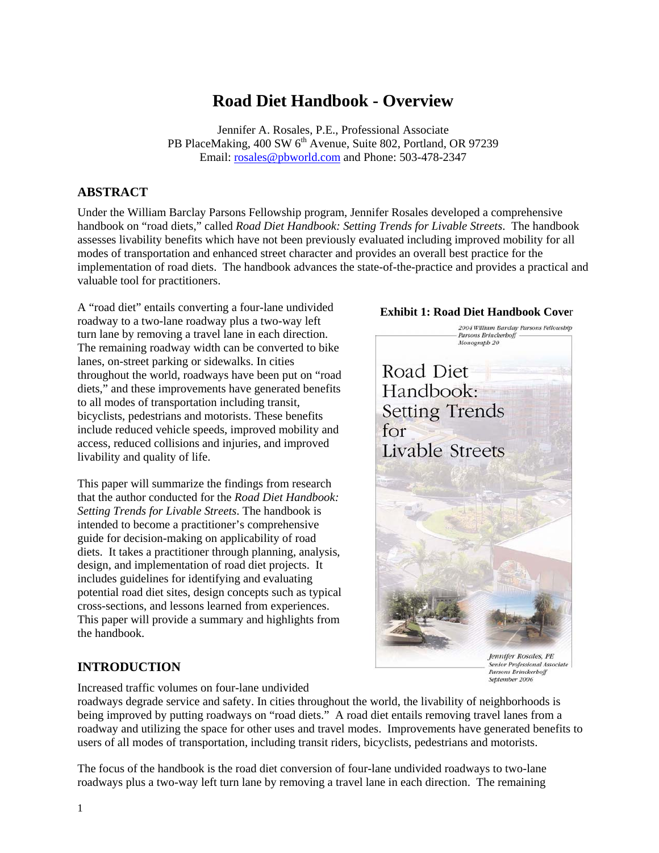# **Road Diet Handbook - Overview**

Jennifer A. Rosales, P.E., Professional Associate PB PlaceMaking, 400 SW 6<sup>th</sup> Avenue, Suite 802, Portland, OR 97239 Email: rosales@pbworld.com and Phone: 503-478-2347

## **ABSTRACT**

Under the William Barclay Parsons Fellowship program, Jennifer Rosales developed a comprehensive handbook on "road diets," called *Road Diet Handbook: Setting Trends for Livable Streets*. The handbook assesses livability benefits which have not been previously evaluated including improved mobility for all modes of transportation and enhanced street character and provides an overall best practice for the implementation of road diets. The handbook advances the state-of-the-practice and provides a practical and valuable tool for practitioners.

A "road diet" entails converting a four-lane undivided roadway to a two-lane roadway plus a two-way left turn lane by removing a travel lane in each direction. The remaining roadway width can be converted to bike lanes, on-street parking or sidewalks. In cities throughout the world, roadways have been put on "road diets," and these improvements have generated benefits to all modes of transportation including transit, bicyclists, pedestrians and motorists. These benefits include reduced vehicle speeds, improved mobility and access, reduced collisions and injuries, and improved livability and quality of life.

This paper will summarize the findings from research that the author conducted for the *Road Diet Handbook: Setting Trends for Livable Streets*. The handbook is intended to become a practitioner's comprehensive guide for decision-making on applicability of road diets. It takes a practitioner through planning, analysis, design, and implementation of road diet projects. It includes guidelines for identifying and evaluating potential road diet sites, design concepts such as typical cross-sections, and lessons learned from experiences. This paper will provide a summary and highlights from the handbook.

## **INTRODUCTION**

Increased traffic volumes on four-lane undivided

roadways degrade service and safety. In cities throughout the world, the livability of neighborhoods is being improved by putting roadways on "road diets." A road diet entails removing travel lanes from a roadway and utilizing the space for other uses and travel modes. Improvements have generated benefits to users of all modes of transportation, including transit riders, bicyclists, pedestrians and motorists.

The focus of the handbook is the road diet conversion of four-lane undivided roadways to two-lane roadways plus a two-way left turn lane by removing a travel lane in each direction. The remaining

#### **Exhibit 1: Road Diet Handbook Cove**r



1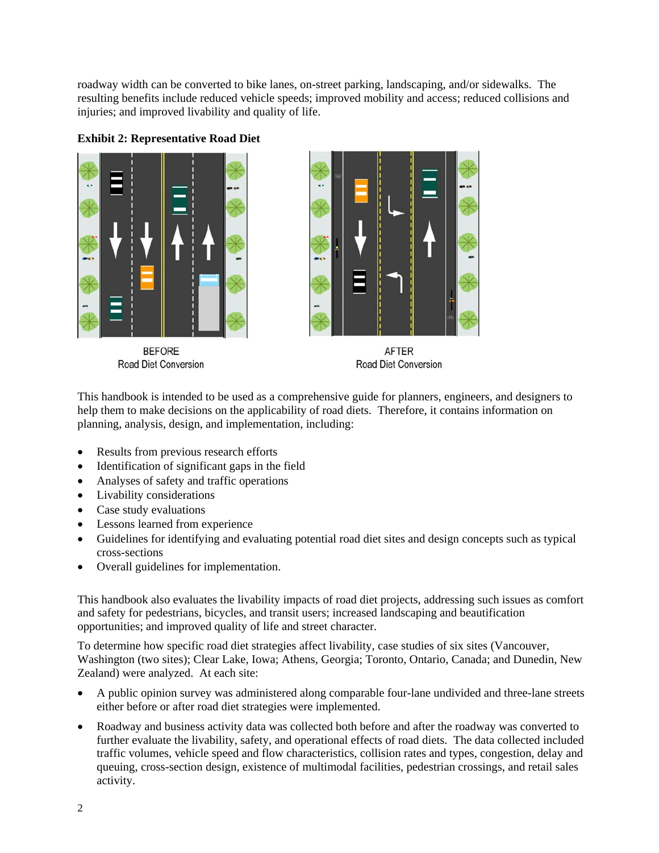roadway width can be converted to bike lanes, on-street parking, landscaping, and/or sidewalks. The resulting benefits include reduced vehicle speeds; improved mobility and access; reduced collisions and injuries; and improved livability and quality of life.





**BEFORE Road Diet Conversion** 



**AFTER** Road Diet Conversion

This handbook is intended to be used as a comprehensive guide for planners, engineers, and designers to help them to make decisions on the applicability of road diets. Therefore, it contains information on planning, analysis, design, and implementation, including:

- Results from previous research efforts
- Identification of significant gaps in the field
- Analyses of safety and traffic operations
- Livability considerations
- Case study evaluations
- Lessons learned from experience
- Guidelines for identifying and evaluating potential road diet sites and design concepts such as typical cross-sections
- Overall guidelines for implementation.

This handbook also evaluates the livability impacts of road diet projects, addressing such issues as comfort and safety for pedestrians, bicycles, and transit users; increased landscaping and beautification opportunities; and improved quality of life and street character.

To determine how specific road diet strategies affect livability, case studies of six sites (Vancouver, Washington (two sites); Clear Lake, Iowa; Athens, Georgia; Toronto, Ontario, Canada; and Dunedin, New Zealand) were analyzed. At each site:

- A public opinion survey was administered along comparable four-lane undivided and three-lane streets either before or after road diet strategies were implemented.
- Roadway and business activity data was collected both before and after the roadway was converted to further evaluate the livability, safety, and operational effects of road diets. The data collected included traffic volumes, vehicle speed and flow characteristics, collision rates and types, congestion, delay and queuing, cross-section design, existence of multimodal facilities, pedestrian crossings, and retail sales activity.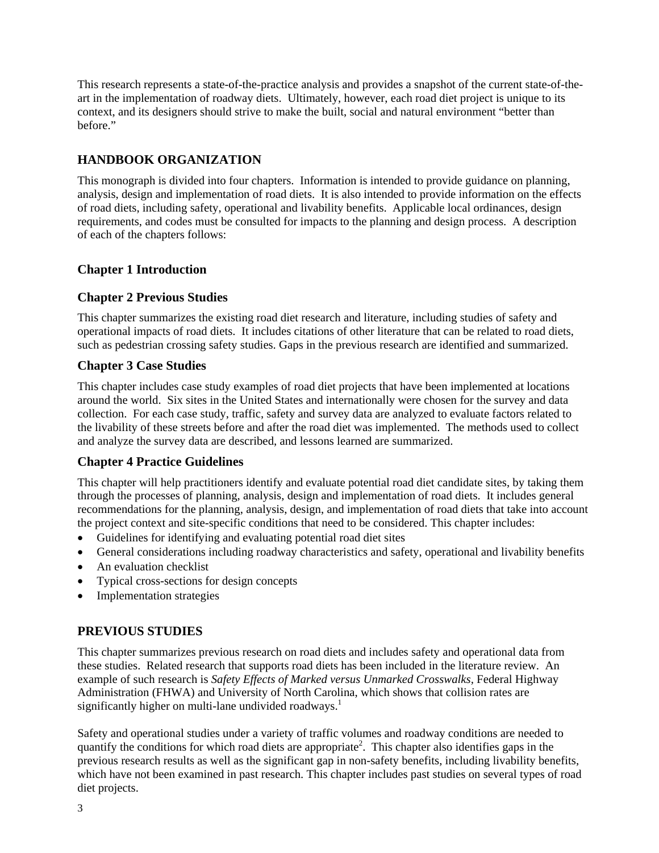This research represents a state-of-the-practice analysis and provides a snapshot of the current state-of-theart in the implementation of roadway diets. Ultimately, however, each road diet project is unique to its context, and its designers should strive to make the built, social and natural environment "better than before."

## **HANDBOOK ORGANIZATION**

This monograph is divided into four chapters. Information is intended to provide guidance on planning, analysis, design and implementation of road diets. It is also intended to provide information on the effects of road diets, including safety, operational and livability benefits. Applicable local ordinances, design requirements, and codes must be consulted for impacts to the planning and design process. A description of each of the chapters follows:

## **Chapter 1 Introduction**

## **Chapter 2 Previous Studies**

This chapter summarizes the existing road diet research and literature, including studies of safety and operational impacts of road diets. It includes citations of other literature that can be related to road diets, such as pedestrian crossing safety studies. Gaps in the previous research are identified and summarized.

## **Chapter 3 Case Studies**

This chapter includes case study examples of road diet projects that have been implemented at locations around the world. Six sites in the United States and internationally were chosen for the survey and data collection. For each case study, traffic, safety and survey data are analyzed to evaluate factors related to the livability of these streets before and after the road diet was implemented. The methods used to collect and analyze the survey data are described, and lessons learned are summarized.

## **Chapter 4 Practice Guidelines**

This chapter will help practitioners identify and evaluate potential road diet candidate sites, by taking them through the processes of planning, analysis, design and implementation of road diets. It includes general recommendations for the planning, analysis, design, and implementation of road diets that take into account the project context and site-specific conditions that need to be considered. This chapter includes:

- Guidelines for identifying and evaluating potential road diet sites
- General considerations including roadway characteristics and safety, operational and livability benefits
- An evaluation checklist
- Typical cross-sections for design concepts
- Implementation strategies

## **PREVIOUS STUDIES**

This chapter summarizes previous research on road diets and includes safety and operational data from these studies. Related research that supports road diets has been included in the literature review. An example of such research is *Safety Effects of Marked versus Unmarked Crosswalks,* Federal Highway Administration (FHWA) and University of North Carolina, which shows that collision rates are significantly higher on multi-lane undivided roadways.<sup>1</sup>

Safety and operational studies under a variety of traffic volumes and roadway conditions are needed to quantify the conditions for which road diets are appropriate<sup>2</sup>. This chapter also identifies gaps in the previous research results as well as the significant gap in non-safety benefits, including livability benefits, which have not been examined in past research. This chapter includes past studies on several types of road diet projects.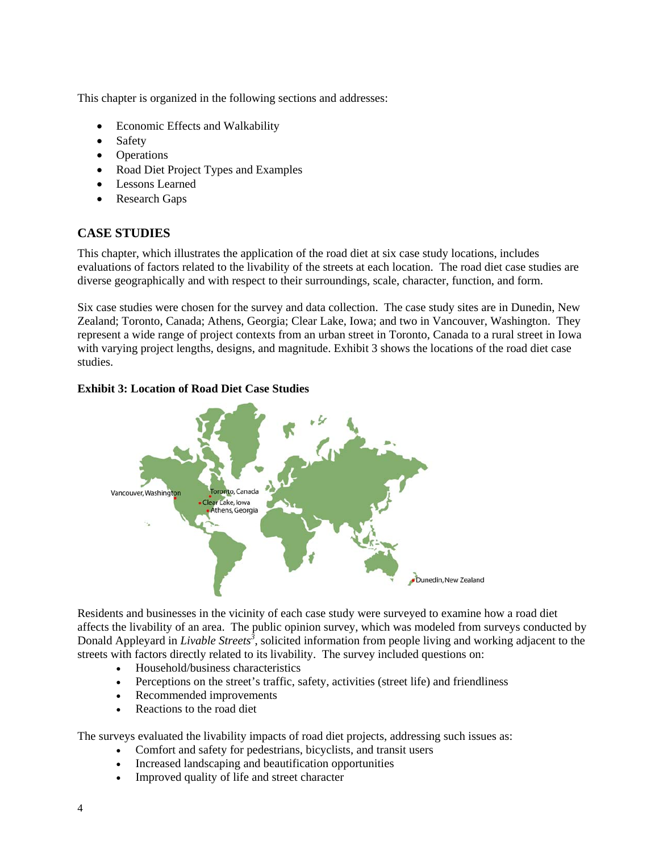This chapter is organized in the following sections and addresses:

- Economic Effects and Walkability
- Safety
- Operations
- Road Diet Project Types and Examples
- Lessons Learned
- Research Gaps

## **CASE STUDIES**

This chapter, which illustrates the application of the road diet at six case study locations, includes evaluations of factors related to the livability of the streets at each location. The road diet case studies are diverse geographically and with respect to their surroundings, scale, character, function, and form.

Six case studies were chosen for the survey and data collection. The case study sites are in Dunedin, New Zealand; Toronto, Canada; Athens, Georgia; Clear Lake, Iowa; and two in Vancouver, Washington. They represent a wide range of project contexts from an urban street in Toronto, Canada to a rural street in Iowa with varying project lengths, designs, and magnitude. Exhibit 3 shows the locations of the road diet case studies.

#### **Exhibit 3: Location of Road Diet Case Studies**



Residents and businesses in the vicinity of each case study were surveyed to examine how a road diet affects the livability of an area. The public opinion survey, which was modeled from surveys conducted by Donald Appleyard in *Livable Streets<sup>3</sup>* , solicited information from people living and working adjacent to the streets with factors directly related to its livability. The survey included questions on:

- Household/business characteristics
- Perceptions on the street's traffic, safety, activities (street life) and friendliness
- Recommended improvements
- Reactions to the road diet

The surveys evaluated the livability impacts of road diet projects, addressing such issues as:

- Comfort and safety for pedestrians, bicyclists, and transit users
- Increased landscaping and beautification opportunities
- Improved quality of life and street character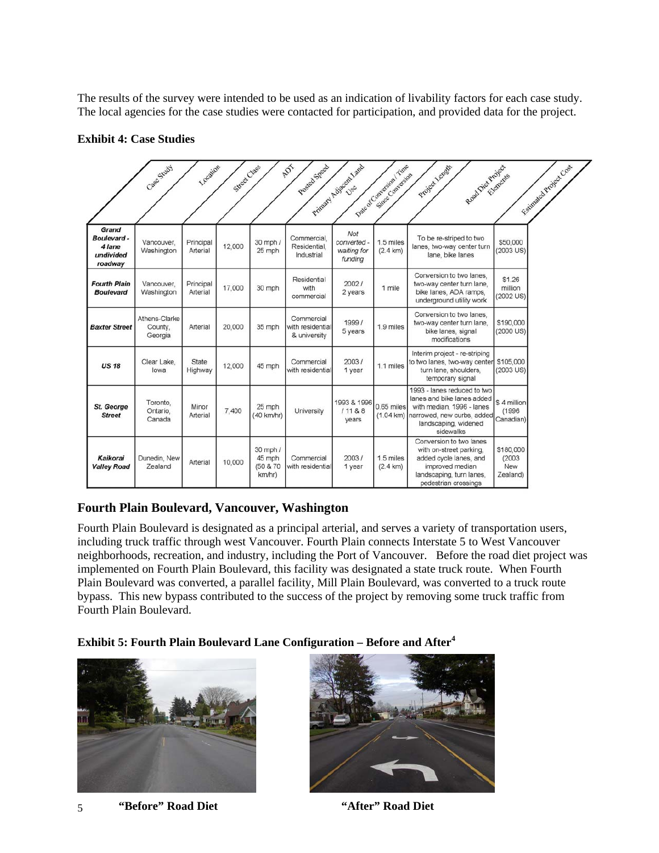The results of the survey were intended to be used as an indication of livability factors for each case study. The local agencies for the case studies were contacted for participation, and provided data for the project.

|                                                       | Case Study                          | Location              | Street Class |                                          | <b>ADT</b><br>Posted Speed                     | Principal Acipsoon Land                      | Dag of Conversion Time<br>Simoe Conversion | Read Die Projects<br>Project Length                                                                                                                       | Fairward Project Coal                         |
|-------------------------------------------------------|-------------------------------------|-----------------------|--------------|------------------------------------------|------------------------------------------------|----------------------------------------------|--------------------------------------------|-----------------------------------------------------------------------------------------------------------------------------------------------------------|-----------------------------------------------|
| Grand<br>Boulevard-<br>4 lane<br>undivided<br>roadway | Vancouver,<br>Washington            | Principal<br>Arterial | 12,000       | 30 mph /<br>25 mph                       | Commercial,<br>Residential,<br>Industrial      | Not<br>converted -<br>waiting for<br>funding | 1.5 miles<br>$(2.4 \text{ km})$            | To be re-striped to two<br>lanes, two-way center turn<br>lane, bike lanes                                                                                 | \$50,000<br>(2003 US)                         |
| <b>Fourth Plain</b><br><b>Boulevard</b>               | Vancouver.<br>Washington            | Principal<br>Arterial | 17,000       | 30 mph                                   | Residential<br>with<br>commercial              | 2002/<br>2 years                             | 1 mile                                     | Conversion to two lanes.<br>two-way center turn lane,<br>bike lanes, ADA ramps,<br>underground utility work                                               | \$1.26<br>million<br>(2002 US)                |
| <b>Baxter Street</b>                                  | Athens-Clarke<br>County.<br>Georgia | Arterial              | 20,000       | 35 mph                                   | Commercial<br>with residential<br>& university | 1999/<br>5 years                             | 1.9 miles                                  | Conversion to two lanes.<br>two-way center turn lane.<br>bike lanes, signal<br>modifications                                                              | \$190,000<br>(2000 US)                        |
| <b>US 18</b>                                          | Clear Lake.<br>lowa                 | State<br>Highway      | 12,000       | 45 mph                                   | Commercial<br>with residential                 | 2003/<br>1 year                              | 1.1 miles                                  | Interim project - re-striping<br>to two lanes, two-way center<br>turn lane, shoulders,<br>temporary signal                                                | \$105,000<br>(2003 US)                        |
| <b>St. George</b><br><b>Street</b>                    | Toronto.<br>Ontario.<br>Canada      | Minor<br>Arterial     | 7,400        | 25 mph<br>(40 km/hr)                     | University                                     | 1993 & 1996<br>11188<br>years                | 0.65 miles<br>(1.04 km)                    | 1993 - lanes reduced to two<br>lanes and bike lanes added<br>with median, 1996 - lanes<br>narrowed, new curbs, added<br>landscaping, widened<br>sidewalks | \$4 million<br>(1996)<br>Canadian)            |
| Kaikorai<br><b>Valley Road</b>                        | Dunedin, New<br>Zealand             | Arterial              | 10,000       | 30 mph /<br>45 mph<br>(50 & 70<br>km/hr) | Commercial<br>with residential                 | 2003/<br>1 year                              | 1.5 miles<br>$(2.4 \text{ km})$            | Conversion to two lanes<br>with on-street parking.<br>added cycle lanes, and<br>improved median<br>landscaping, turn lanes,<br>pedestrian crossings       | \$180,000<br>(2003)<br><b>New</b><br>Zealand) |

#### **Exhibit 4: Case Studies**

## **Fourth Plain Boulevard, Vancouver, Washington**

Fourth Plain Boulevard is designated as a principal arterial, and serves a variety of transportation users, including truck traffic through west Vancouver. Fourth Plain connects Interstate 5 to West Vancouver neighborhoods, recreation, and industry, including the Port of Vancouver. Before the road diet project was implemented on Fourth Plain Boulevard, this facility was designated a state truck route. When Fourth Plain Boulevard was converted, a parallel facility, Mill Plain Boulevard, was converted to a truck route bypass. This new bypass contributed to the success of the project by removing some truck traffic from Fourth Plain Boulevard.

#### **Exhibit 5: Fourth Plain Boulevard Lane Configuration – Before and After<sup>4</sup>**



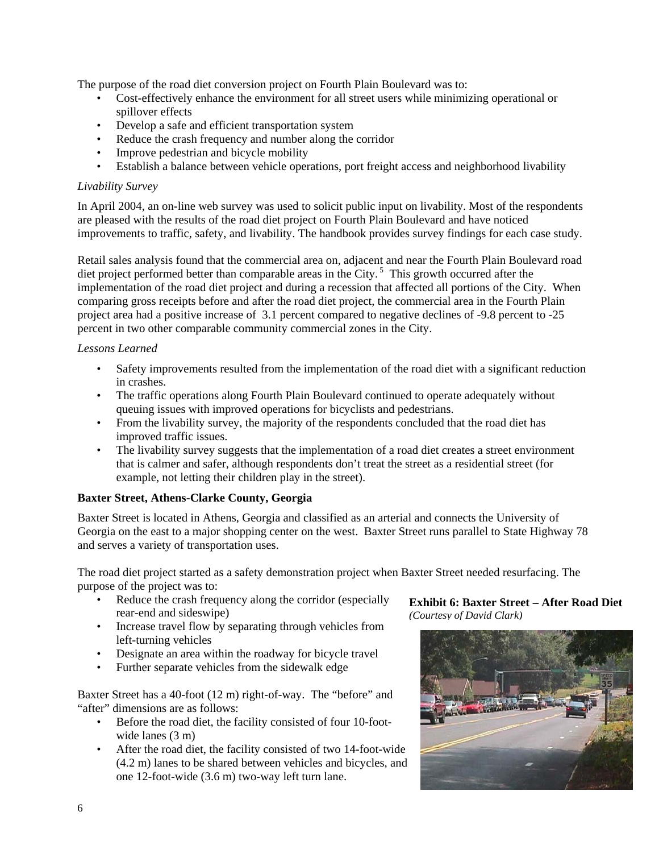The purpose of the road diet conversion project on Fourth Plain Boulevard was to:

- Cost-effectively enhance the environment for all street users while minimizing operational or spillover effects
- Develop a safe and efficient transportation system
- Reduce the crash frequency and number along the corridor
- Improve pedestrian and bicycle mobility
- Establish a balance between vehicle operations, port freight access and neighborhood livability

#### *Livability Survey*

In April 2004, an on-line web survey was used to solicit public input on livability. Most of the respondents are pleased with the results of the road diet project on Fourth Plain Boulevard and have noticed improvements to traffic, safety, and livability. The handbook provides survey findings for each case study.

Retail sales analysis found that the commercial area on, adjacent and near the Fourth Plain Boulevard road diet project performed better than comparable areas in the City.<sup>5</sup> This growth occurred after the implementation of the road diet project and during a recession that affected all portions of the City. When comparing gross receipts before and after the road diet project, the commercial area in the Fourth Plain project area had a positive increase of 3.1 percent compared to negative declines of -9.8 percent to -25 percent in two other comparable community commercial zones in the City.

#### *Lessons Learned*

- Safety improvements resulted from the implementation of the road diet with a significant reduction in crashes.
- The traffic operations along Fourth Plain Boulevard continued to operate adequately without queuing issues with improved operations for bicyclists and pedestrians.
- From the livability survey, the majority of the respondents concluded that the road diet has improved traffic issues.
- The livability survey suggests that the implementation of a road diet creates a street environment that is calmer and safer, although respondents don't treat the street as a residential street (for example, not letting their children play in the street).

## **Baxter Street, Athens-Clarke County, Georgia**

Baxter Street is located in Athens, Georgia and classified as an arterial and connects the University of Georgia on the east to a major shopping center on the west. Baxter Street runs parallel to State Highway 78 and serves a variety of transportation uses.

The road diet project started as a safety demonstration project when Baxter Street needed resurfacing. The purpose of the project was to:

- Reduce the crash frequency along the corridor (especially rear-end and sideswipe)
- Increase travel flow by separating through vehicles from left-turning vehicles
- Designate an area within the roadway for bicycle travel
- Further separate vehicles from the sidewalk edge

Baxter Street has a 40-foot (12 m) right-of-way. The "before" and "after" dimensions are as follows:

- Before the road diet, the facility consisted of four 10-footwide lanes  $(3 \text{ m})$
- After the road diet, the facility consisted of two 14-foot-wide (4.2 m) lanes to be shared between vehicles and bicycles, and one 12-foot-wide (3.6 m) two-way left turn lane.

**Exhibit 6: Baxter Street – After Road Diet**  *(Courtesy of David Clark)*

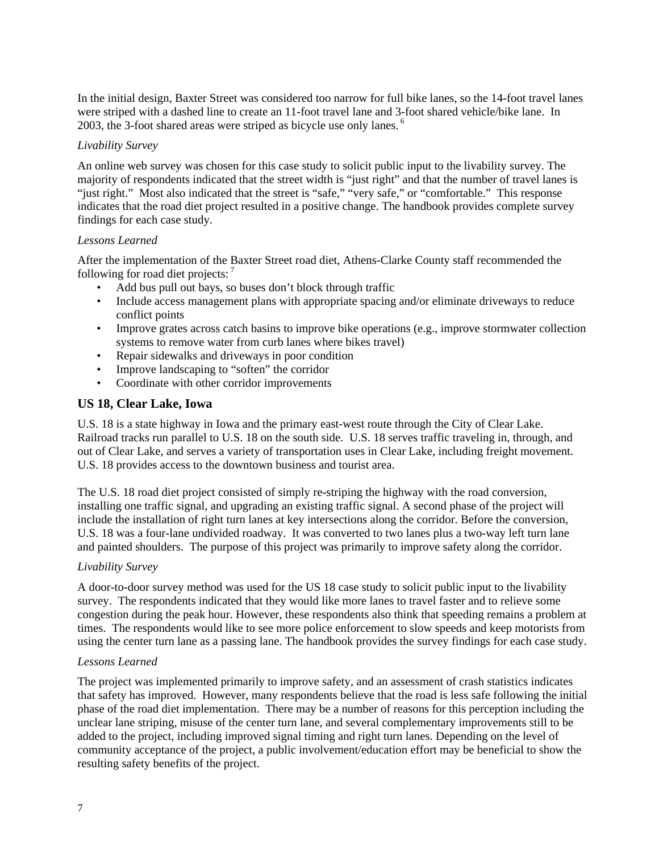In the initial design, Baxter Street was considered too narrow for full bike lanes, so the 14-foot travel lanes were striped with a dashed line to create an 11-foot travel lane and 3-foot shared vehicle/bike lane. In 2003, the 3-foot shared areas were striped as bicycle use only lanes.<sup>6</sup>

#### *Livability Survey*

An online web survey was chosen for this case study to solicit public input to the livability survey. The majority of respondents indicated that the street width is "just right" and that the number of travel lanes is "just right." Most also indicated that the street is "safe," "very safe," or "comfortable." This response indicates that the road diet project resulted in a positive change. The handbook provides complete survey findings for each case study.

#### *Lessons Learned*

After the implementation of the Baxter Street road diet, Athens-Clarke County staff recommended the following for road diet projects:  $<sup>7</sup>$ </sup>

- Add bus pull out bays, so buses don't block through traffic
- Include access management plans with appropriate spacing and/or eliminate driveways to reduce conflict points
- Improve grates across catch basins to improve bike operations (e.g., improve stormwater collection systems to remove water from curb lanes where bikes travel)
- Repair sidewalks and driveways in poor condition
- Improve landscaping to "soften" the corridor
- Coordinate with other corridor improvements

## **US 18, Clear Lake, Iowa**

U.S. 18 is a state highway in Iowa and the primary east-west route through the City of Clear Lake. Railroad tracks run parallel to U.S. 18 on the south side. U.S. 18 serves traffic traveling in, through, and out of Clear Lake, and serves a variety of transportation uses in Clear Lake, including freight movement. U.S. 18 provides access to the downtown business and tourist area.

The U.S. 18 road diet project consisted of simply re-striping the highway with the road conversion, installing one traffic signal, and upgrading an existing traffic signal. A second phase of the project will include the installation of right turn lanes at key intersections along the corridor. Before the conversion, U.S. 18 was a four-lane undivided roadway. It was converted to two lanes plus a two-way left turn lane and painted shoulders. The purpose of this project was primarily to improve safety along the corridor.

#### *Livability Survey*

A door-to-door survey method was used for the US 18 case study to solicit public input to the livability survey. The respondents indicated that they would like more lanes to travel faster and to relieve some congestion during the peak hour. However, these respondents also think that speeding remains a problem at times. The respondents would like to see more police enforcement to slow speeds and keep motorists from using the center turn lane as a passing lane. The handbook provides the survey findings for each case study.

#### *Lessons Learned*

The project was implemented primarily to improve safety, and an assessment of crash statistics indicates that safety has improved. However, many respondents believe that the road is less safe following the initial phase of the road diet implementation. There may be a number of reasons for this perception including the unclear lane striping, misuse of the center turn lane, and several complementary improvements still to be added to the project, including improved signal timing and right turn lanes. Depending on the level of community acceptance of the project, a public involvement/education effort may be beneficial to show the resulting safety benefits of the project.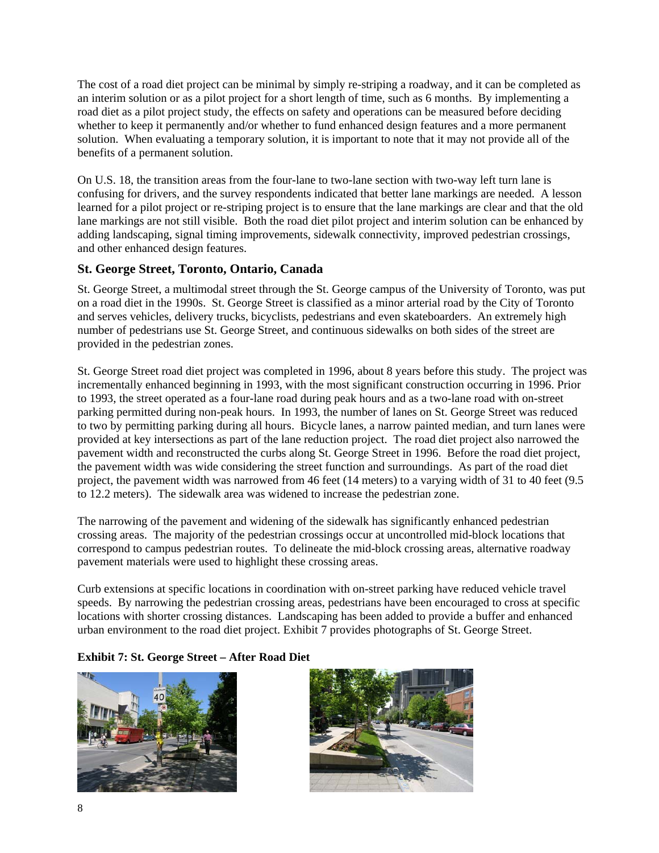The cost of a road diet project can be minimal by simply re-striping a roadway, and it can be completed as an interim solution or as a pilot project for a short length of time, such as 6 months. By implementing a road diet as a pilot project study, the effects on safety and operations can be measured before deciding whether to keep it permanently and/or whether to fund enhanced design features and a more permanent solution. When evaluating a temporary solution, it is important to note that it may not provide all of the benefits of a permanent solution.

On U.S. 18, the transition areas from the four-lane to two-lane section with two-way left turn lane is confusing for drivers, and the survey respondents indicated that better lane markings are needed. A lesson learned for a pilot project or re-striping project is to ensure that the lane markings are clear and that the old lane markings are not still visible. Both the road diet pilot project and interim solution can be enhanced by adding landscaping, signal timing improvements, sidewalk connectivity, improved pedestrian crossings, and other enhanced design features.

## **St. George Street, Toronto, Ontario, Canada**

St. George Street, a multimodal street through the St. George campus of the University of Toronto, was put on a road diet in the 1990s. St. George Street is classified as a minor arterial road by the City of Toronto and serves vehicles, delivery trucks, bicyclists, pedestrians and even skateboarders. An extremely high number of pedestrians use St. George Street, and continuous sidewalks on both sides of the street are provided in the pedestrian zones.

St. George Street road diet project was completed in 1996, about 8 years before this study. The project was incrementally enhanced beginning in 1993, with the most significant construction occurring in 1996. Prior to 1993, the street operated as a four-lane road during peak hours and as a two-lane road with on-street parking permitted during non-peak hours. In 1993, the number of lanes on St. George Street was reduced to two by permitting parking during all hours. Bicycle lanes, a narrow painted median, and turn lanes were provided at key intersections as part of the lane reduction project. The road diet project also narrowed the pavement width and reconstructed the curbs along St. George Street in 1996. Before the road diet project, the pavement width was wide considering the street function and surroundings. As part of the road diet project, the pavement width was narrowed from 46 feet (14 meters) to a varying width of 31 to 40 feet (9.5 to 12.2 meters). The sidewalk area was widened to increase the pedestrian zone.

The narrowing of the pavement and widening of the sidewalk has significantly enhanced pedestrian crossing areas. The majority of the pedestrian crossings occur at uncontrolled mid-block locations that correspond to campus pedestrian routes. To delineate the mid-block crossing areas, alternative roadway pavement materials were used to highlight these crossing areas.

Curb extensions at specific locations in coordination with on-street parking have reduced vehicle travel speeds. By narrowing the pedestrian crossing areas, pedestrians have been encouraged to cross at specific locations with shorter crossing distances. Landscaping has been added to provide a buffer and enhanced urban environment to the road diet project. Exhibit 7 provides photographs of St. George Street.

## **Exhibit 7: St. George Street – After Road Diet**



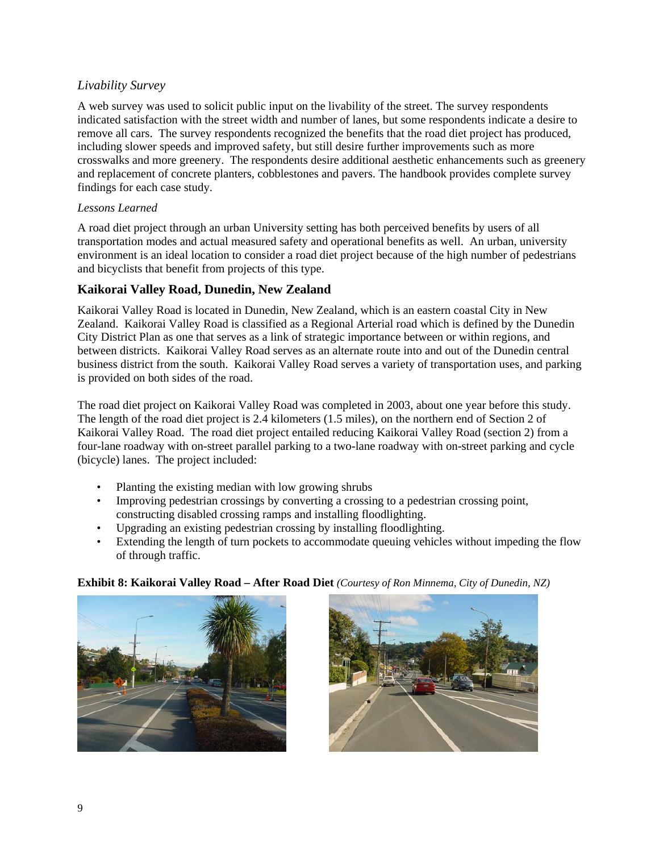## *Livability Survey*

A web survey was used to solicit public input on the livability of the street. The survey respondents indicated satisfaction with the street width and number of lanes, but some respondents indicate a desire to remove all cars. The survey respondents recognized the benefits that the road diet project has produced, including slower speeds and improved safety, but still desire further improvements such as more crosswalks and more greenery. The respondents desire additional aesthetic enhancements such as greenery and replacement of concrete planters, cobblestones and pavers. The handbook provides complete survey findings for each case study.

#### *Lessons Learned*

A road diet project through an urban University setting has both perceived benefits by users of all transportation modes and actual measured safety and operational benefits as well. An urban, university environment is an ideal location to consider a road diet project because of the high number of pedestrians and bicyclists that benefit from projects of this type.

## **Kaikorai Valley Road, Dunedin, New Zealand**

Kaikorai Valley Road is located in Dunedin, New Zealand, which is an eastern coastal City in New Zealand. Kaikorai Valley Road is classified as a Regional Arterial road which is defined by the Dunedin City District Plan as one that serves as a link of strategic importance between or within regions, and between districts. Kaikorai Valley Road serves as an alternate route into and out of the Dunedin central business district from the south. Kaikorai Valley Road serves a variety of transportation uses, and parking is provided on both sides of the road.

The road diet project on Kaikorai Valley Road was completed in 2003, about one year before this study. The length of the road diet project is 2.4 kilometers (1.5 miles), on the northern end of Section 2 of Kaikorai Valley Road. The road diet project entailed reducing Kaikorai Valley Road (section 2) from a four-lane roadway with on-street parallel parking to a two-lane roadway with on-street parking and cycle (bicycle) lanes. The project included:

- Planting the existing median with low growing shrubs
- Improving pedestrian crossings by converting a crossing to a pedestrian crossing point, constructing disabled crossing ramps and installing floodlighting.
- Upgrading an existing pedestrian crossing by installing floodlighting.
- Extending the length of turn pockets to accommodate queuing vehicles without impeding the flow of through traffic.





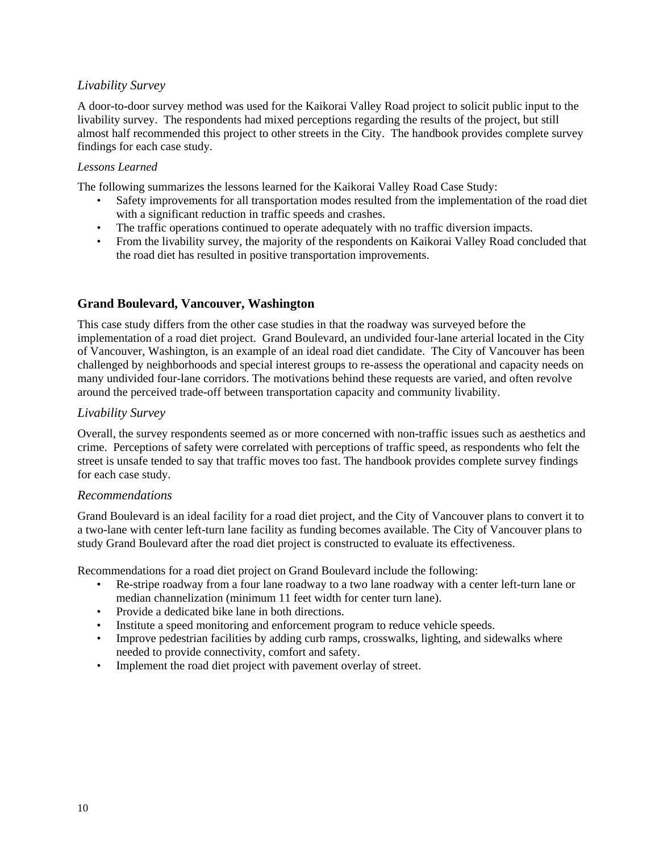## *Livability Survey*

A door-to-door survey method was used for the Kaikorai Valley Road project to solicit public input to the livability survey. The respondents had mixed perceptions regarding the results of the project, but still almost half recommended this project to other streets in the City. The handbook provides complete survey findings for each case study.

#### *Lessons Learned*

The following summarizes the lessons learned for the Kaikorai Valley Road Case Study:

- Safety improvements for all transportation modes resulted from the implementation of the road diet with a significant reduction in traffic speeds and crashes.
- The traffic operations continued to operate adequately with no traffic diversion impacts.
- From the livability survey, the majority of the respondents on Kaikorai Valley Road concluded that the road diet has resulted in positive transportation improvements.

## **Grand Boulevard, Vancouver, Washington**

This case study differs from the other case studies in that the roadway was surveyed before the implementation of a road diet project. Grand Boulevard, an undivided four-lane arterial located in the City of Vancouver, Washington, is an example of an ideal road diet candidate. The City of Vancouver has been challenged by neighborhoods and special interest groups to re-assess the operational and capacity needs on many undivided four-lane corridors. The motivations behind these requests are varied, and often revolve around the perceived trade-off between transportation capacity and community livability.

## *Livability Survey*

Overall, the survey respondents seemed as or more concerned with non-traffic issues such as aesthetics and crime. Perceptions of safety were correlated with perceptions of traffic speed, as respondents who felt the street is unsafe tended to say that traffic moves too fast. The handbook provides complete survey findings for each case study.

#### *Recommendations*

Grand Boulevard is an ideal facility for a road diet project, and the City of Vancouver plans to convert it to a two-lane with center left-turn lane facility as funding becomes available. The City of Vancouver plans to study Grand Boulevard after the road diet project is constructed to evaluate its effectiveness.

Recommendations for a road diet project on Grand Boulevard include the following:

- Re-stripe roadway from a four lane roadway to a two lane roadway with a center left-turn lane or median channelization (minimum 11 feet width for center turn lane).
- Provide a dedicated bike lane in both directions.
- Institute a speed monitoring and enforcement program to reduce vehicle speeds.
- Improve pedestrian facilities by adding curb ramps, crosswalks, lighting, and sidewalks where needed to provide connectivity, comfort and safety.
- Implement the road diet project with pavement overlay of street.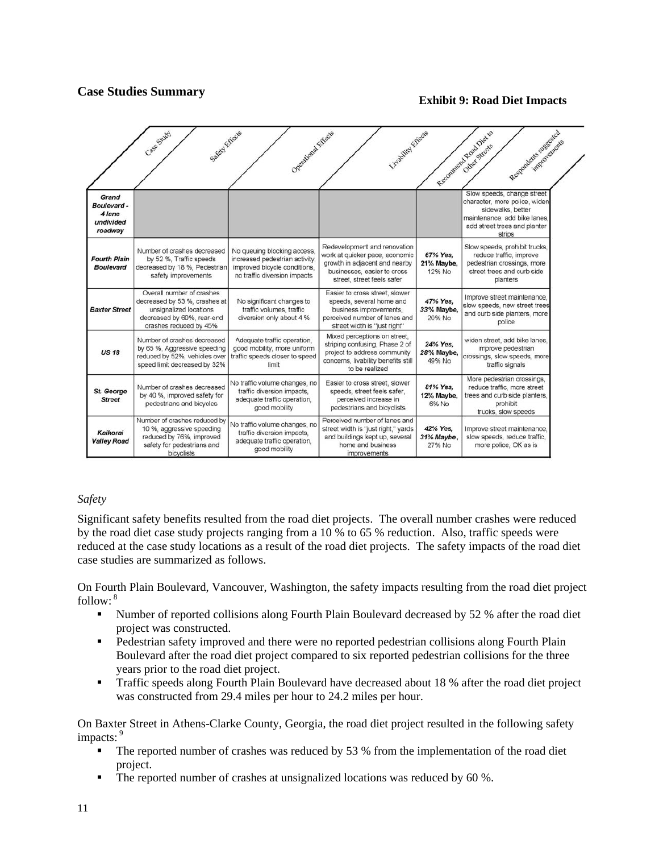## **Case Studies Summary**

#### **Exhibit 9: Road Diet Impacts**

|                                                       | Case Study<br>Safety Effects                                                                                                                 | Operational Effects                                                                                                           | Livighting Effects                                                                                                                                           |                                  | Responding suggested<br>Reconnected Read Dietro<br>improvements                                                                                            |
|-------------------------------------------------------|----------------------------------------------------------------------------------------------------------------------------------------------|-------------------------------------------------------------------------------------------------------------------------------|--------------------------------------------------------------------------------------------------------------------------------------------------------------|----------------------------------|------------------------------------------------------------------------------------------------------------------------------------------------------------|
| Grand<br>Boulevard-<br>4 lane<br>undivided<br>roadway |                                                                                                                                              |                                                                                                                               |                                                                                                                                                              |                                  | Slow speeds, change street<br>character, more police, widen<br>sidewalks, better<br>maintenance, add bike lanes,<br>add street trees and planter<br>strips |
| <b>Fourth Plain</b><br><b>Boulevard</b>               | Number of crashes decreased<br>by 52 %, Traffic speeds<br>decreased by 18 %, Pedestrian<br>safety improvements                               | No queuing blocking access,<br>increased pedestrian activity.<br>improved bicycle conditions,<br>no traffic diversion impacts | Redevelopment and renovation<br>work at quicker pace, economic<br>growth in adjacent and nearby<br>businesses, easier to cross<br>street, street feels safer | 67% Yes.<br>21% Maybe,<br>12% No | Slow speeds, prohibit trucks,<br>reduce traffic, improve<br>pedestrian crossings, more<br>street trees and curb side<br>planters                           |
| <b>Baxter Street</b>                                  | Overall number of crashes<br>decreased by 53 %, crashes at<br>unsignalized locations<br>decreased by 60%, rear-end<br>crashes reduced by 45% | No significant changes to<br>traffic volumes, traffic<br>diversion only about 4 %                                             | Easier to cross street, slower<br>speeds, several home and<br>business improvements.<br>perceived number of lanes and<br>street width is "just right"        | 47% Yes.<br>33% Maybe,<br>20% No | Improve street maintenance.<br>slow speeds, new street trees<br>and curb side planters, more<br>police                                                     |
| <b>US 18</b>                                          | Number of crashes decreased<br>by 65 %, Aggressive speeding<br>reduced by 52%, vehicles over<br>speed limit decreased by 32%                 | Adequate traffic operation,<br>good mobility, more uniform<br>traffic speeds closer to speed<br>limit                         | Mixed perceptions on street.<br>striping confusing, Phase 2 of<br>project to address community<br>concerns. Iivability benefits still<br>to be realized      | 24% Yes,<br>28% Maybe,<br>49% No | widen street, add bike lanes.<br>improve pedestrian<br>crossings, slow speeds, more<br>traffic signals                                                     |
| St. George<br><b>Street</b>                           | Number of crashes decreased<br>by 40 %, improved safety for<br>pedestrians and bicycles                                                      | No traffic volume changes, no<br>traffic diversion impacts.<br>adequate traffic operation,<br>good mobility                   | Easier to cross street, slower<br>speeds, street feels safer,<br>perceived increase in<br>pedestrians and bicyclists                                         | 81% Yes.<br>12% Maybe,<br>6% No  | More pedestrian crossings,<br>reduce traffic, more street<br>trees and curb side planters,<br>prohibit<br>trucks, slow speeds                              |
| Kaikorai<br><b>Valley Road</b>                        | Number of crashes reduced by<br>10 %, aggressive speeding<br>reduced by 76%, improved<br>safety for pedestrians and<br>bicyclists            | No traffic volume changes, no<br>traffic diversion impacts.<br>adequate traffic operation,<br>good mobility                   | Perceived number of lanes and<br>street width is "just right," yards<br>and buildings kept up, several<br>home and business<br>improvements                  | 42% Yes.<br>31% Maybe,<br>27% No | Improve street maintenance,<br>slow speeds, reduce traffic,<br>more police, OK as is                                                                       |

#### *Safety*

Significant safety benefits resulted from the road diet projects. The overall number crashes were reduced by the road diet case study projects ranging from a 10 % to 65 % reduction. Also, traffic speeds were reduced at the case study locations as a result of the road diet projects. The safety impacts of the road diet case studies are summarized as follows.

On Fourth Plain Boulevard, Vancouver, Washington, the safety impacts resulting from the road diet project follow: $8$ 

- Number of reported collisions along Fourth Plain Boulevard decreased by 52 % after the road diet project was constructed.
- Pedestrian safety improved and there were no reported pedestrian collisions along Fourth Plain Boulevard after the road diet project compared to six reported pedestrian collisions for the three years prior to the road diet project.
- Traffic speeds along Fourth Plain Boulevard have decreased about 18 % after the road diet project was constructed from 29.4 miles per hour to 24.2 miles per hour.

On Baxter Street in Athens-Clarke County, Georgia, the road diet project resulted in the following safety impacts: $9$ 

- The reported number of crashes was reduced by 53 % from the implementation of the road diet project.
- The reported number of crashes at unsignalized locations was reduced by 60 %.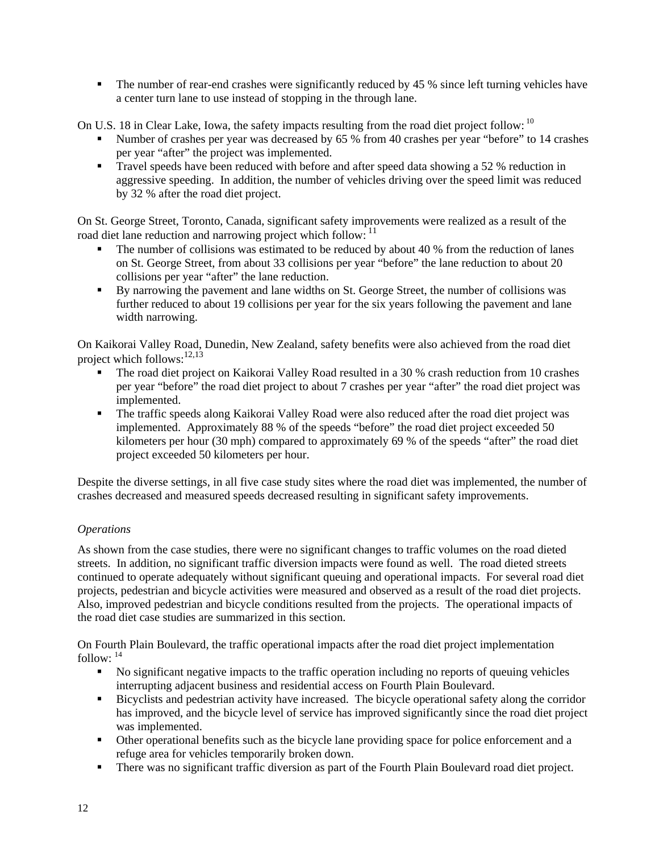• The number of rear-end crashes were significantly reduced by 45 % since left turning vehicles have a center turn lane to use instead of stopping in the through lane.

On U.S. 18 in Clear Lake, Iowa, the safety impacts resulting from the road diet project follow: <sup>10</sup>

- Number of crashes per year was decreased by 65 % from 40 crashes per year "before" to 14 crashes per year "after" the project was implemented.
- Travel speeds have been reduced with before and after speed data showing a 52 % reduction in aggressive speeding. In addition, the number of vehicles driving over the speed limit was reduced by 32 % after the road diet project.

On St. George Street, Toronto, Canada, significant safety improvements were realized as a result of the road diet lane reduction and narrowing project which follow: <sup>11</sup>

- The number of collisions was estimated to be reduced by about 40 % from the reduction of lanes on St. George Street, from about 33 collisions per year "before" the lane reduction to about 20 collisions per year "after" the lane reduction.
- By narrowing the pavement and lane widths on St. George Street, the number of collisions was further reduced to about 19 collisions per year for the six years following the pavement and lane width narrowing.

On Kaikorai Valley Road, Dunedin, New Zealand, safety benefits were also achieved from the road diet project which follows:  $12,13$ 

- The road diet project on Kaikorai Valley Road resulted in a 30 % crash reduction from 10 crashes per year "before" the road diet project to about 7 crashes per year "after" the road diet project was implemented.
- The traffic speeds along Kaikorai Valley Road were also reduced after the road diet project was implemented. Approximately 88 % of the speeds "before" the road diet project exceeded 50 kilometers per hour (30 mph) compared to approximately 69 % of the speeds "after" the road diet project exceeded 50 kilometers per hour.

Despite the diverse settings, in all five case study sites where the road diet was implemented, the number of crashes decreased and measured speeds decreased resulting in significant safety improvements.

## *Operations*

As shown from the case studies, there were no significant changes to traffic volumes on the road dieted streets. In addition, no significant traffic diversion impacts were found as well. The road dieted streets continued to operate adequately without significant queuing and operational impacts. For several road diet projects, pedestrian and bicycle activities were measured and observed as a result of the road diet projects. Also, improved pedestrian and bicycle conditions resulted from the projects. The operational impacts of the road diet case studies are summarized in this section.

On Fourth Plain Boulevard, the traffic operational impacts after the road diet project implementation follow:  $14$ 

- No significant negative impacts to the traffic operation including no reports of queuing vehicles interrupting adjacent business and residential access on Fourth Plain Boulevard.
- Bicyclists and pedestrian activity have increased. The bicycle operational safety along the corridor has improved, and the bicycle level of service has improved significantly since the road diet project was implemented.
- Other operational benefits such as the bicycle lane providing space for police enforcement and a refuge area for vehicles temporarily broken down.
- There was no significant traffic diversion as part of the Fourth Plain Boulevard road diet project.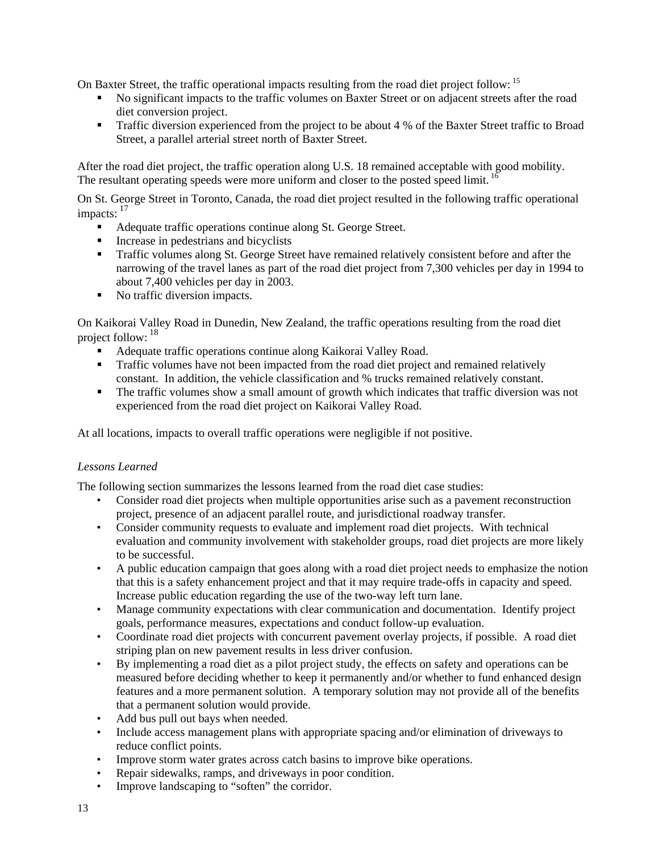On Baxter Street, the traffic operational impacts resulting from the road diet project follow: <sup>15</sup>

- No significant impacts to the traffic volumes on Baxter Street or on adjacent streets after the road diet conversion project.
- **Traffic diversion experienced from the project to be about 4 % of the Baxter Street traffic to Broad** Street, a parallel arterial street north of Baxter Street.

After the road diet project, the traffic operation along U.S. 18 remained acceptable with good mobility. The resultant operating speeds were more uniform and closer to the posted speed limit. <sup>16</sup>

On St. George Street in Toronto, Canada, the road diet project resulted in the following traffic operational impacts:  $\frac{17}{4}$ 

- Adequate traffic operations continue along St. George Street.
- Increase in pedestrians and bicyclists
- Traffic volumes along St. George Street have remained relatively consistent before and after the narrowing of the travel lanes as part of the road diet project from 7,300 vehicles per day in 1994 to about 7,400 vehicles per day in 2003.
- No traffic diversion impacts.

On Kaikorai Valley Road in Dunedin, New Zealand, the traffic operations resulting from the road diet project follow:  $18$ 

- Adequate traffic operations continue along Kaikorai Valley Road.
- Traffic volumes have not been impacted from the road diet project and remained relatively constant. In addition, the vehicle classification and % trucks remained relatively constant.
- The traffic volumes show a small amount of growth which indicates that traffic diversion was not experienced from the road diet project on Kaikorai Valley Road.

At all locations, impacts to overall traffic operations were negligible if not positive.

#### *Lessons Learned*

The following section summarizes the lessons learned from the road diet case studies:

- Consider road diet projects when multiple opportunities arise such as a pavement reconstruction project, presence of an adjacent parallel route, and jurisdictional roadway transfer.
- Consider community requests to evaluate and implement road diet projects. With technical evaluation and community involvement with stakeholder groups, road diet projects are more likely to be successful.
- A public education campaign that goes along with a road diet project needs to emphasize the notion that this is a safety enhancement project and that it may require trade-offs in capacity and speed. Increase public education regarding the use of the two-way left turn lane.
- Manage community expectations with clear communication and documentation. Identify project goals, performance measures, expectations and conduct follow-up evaluation.
- Coordinate road diet projects with concurrent pavement overlay projects, if possible. A road diet striping plan on new pavement results in less driver confusion.
- By implementing a road diet as a pilot project study, the effects on safety and operations can be measured before deciding whether to keep it permanently and/or whether to fund enhanced design features and a more permanent solution. A temporary solution may not provide all of the benefits that a permanent solution would provide.
- Add bus pull out bays when needed.
- Include access management plans with appropriate spacing and/or elimination of driveways to reduce conflict points.
- Improve storm water grates across catch basins to improve bike operations.
- Repair sidewalks, ramps, and driveways in poor condition.
- Improve landscaping to "soften" the corridor.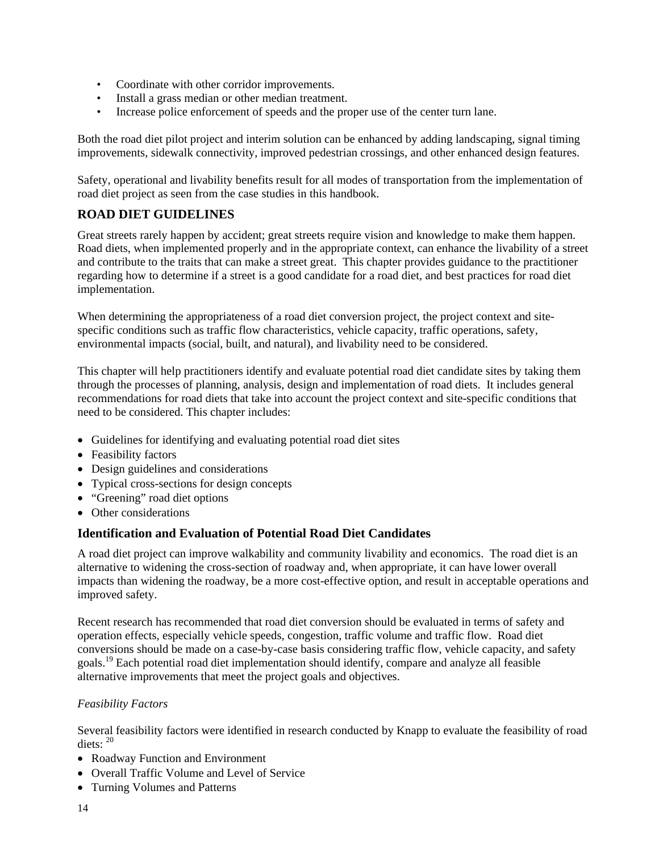- Coordinate with other corridor improvements.
- Install a grass median or other median treatment.
- Increase police enforcement of speeds and the proper use of the center turn lane.

Both the road diet pilot project and interim solution can be enhanced by adding landscaping, signal timing improvements, sidewalk connectivity, improved pedestrian crossings, and other enhanced design features.

Safety, operational and livability benefits result for all modes of transportation from the implementation of road diet project as seen from the case studies in this handbook.

## **ROAD DIET GUIDELINES**

Great streets rarely happen by accident; great streets require vision and knowledge to make them happen. Road diets, when implemented properly and in the appropriate context, can enhance the livability of a street and contribute to the traits that can make a street great. This chapter provides guidance to the practitioner regarding how to determine if a street is a good candidate for a road diet, and best practices for road diet implementation.

When determining the appropriateness of a road diet conversion project, the project context and sitespecific conditions such as traffic flow characteristics, vehicle capacity, traffic operations, safety, environmental impacts (social, built, and natural), and livability need to be considered.

This chapter will help practitioners identify and evaluate potential road diet candidate sites by taking them through the processes of planning, analysis, design and implementation of road diets. It includes general recommendations for road diets that take into account the project context and site-specific conditions that need to be considered. This chapter includes:

- Guidelines for identifying and evaluating potential road diet sites
- Feasibility factors
- Design guidelines and considerations
- Typical cross-sections for design concepts
- "Greening" road diet options
- Other considerations

## **Identification and Evaluation of Potential Road Diet Candidates**

A road diet project can improve walkability and community livability and economics. The road diet is an alternative to widening the cross-section of roadway and, when appropriate, it can have lower overall impacts than widening the roadway, be a more cost-effective option, and result in acceptable operations and improved safety.

Recent research has recommended that road diet conversion should be evaluated in terms of safety and operation effects, especially vehicle speeds, congestion, traffic volume and traffic flow. Road diet conversions should be made on a case-by-case basis considering traffic flow, vehicle capacity, and safety goals.19 Each potential road diet implementation should identify, compare and analyze all feasible alternative improvements that meet the project goals and objectives.

#### *Feasibility Factors*

Several feasibility factors were identified in research conducted by Knapp to evaluate the feasibility of road diets: <sup>20</sup>

- Roadway Function and Environment
- Overall Traffic Volume and Level of Service
- Turning Volumes and Patterns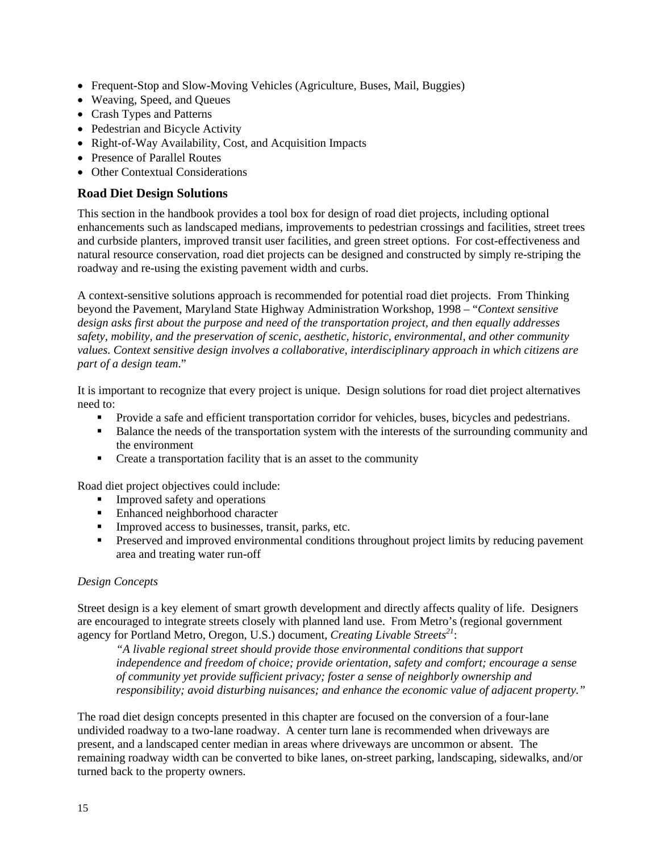- Frequent-Stop and Slow-Moving Vehicles (Agriculture, Buses, Mail, Buggies)
- Weaving, Speed, and Queues
- Crash Types and Patterns
- Pedestrian and Bicycle Activity
- Right-of-Way Availability, Cost, and Acquisition Impacts
- Presence of Parallel Routes
- Other Contextual Considerations

#### **Road Diet Design Solutions**

This section in the handbook provides a tool box for design of road diet projects, including optional enhancements such as landscaped medians, improvements to pedestrian crossings and facilities, street trees and curbside planters, improved transit user facilities, and green street options. For cost-effectiveness and natural resource conservation, road diet projects can be designed and constructed by simply re-striping the roadway and re-using the existing pavement width and curbs.

A context-sensitive solutions approach is recommended for potential road diet projects. From Thinking beyond the Pavement, Maryland State Highway Administration Workshop, 1998 – "*Context sensitive design asks first about the purpose and need of the transportation project, and then equally addresses safety, mobility, and the preservation of scenic, aesthetic, historic, environmental, and other community values. Context sensitive design involves a collaborative, interdisciplinary approach in which citizens are part of a design team*."

It is important to recognize that every project is unique. Design solutions for road diet project alternatives need to:

- Provide a safe and efficient transportation corridor for vehicles, buses, bicycles and pedestrians.
- **Balance the needs of the transportation system with the interests of the surrounding community and** the environment
- Create a transportation facility that is an asset to the community

Road diet project objectives could include:

- **Improved safety and operations**
- Enhanced neighborhood character
- Improved access to businesses, transit, parks, etc.
- **Preserved and improved environmental conditions throughout project limits by reducing pavement** area and treating water run-off

#### *Design Concepts*

Street design is a key element of smart growth development and directly affects quality of life. Designers are encouraged to integrate streets closely with planned land use. From Metro's (regional government agency for Portland Metro, Oregon, U.S.) document, *Creating Livable Streets*<sup>21</sup>:

*"A livable regional street should provide those environmental conditions that support independence and freedom of choice; provide orientation, safety and comfort; encourage a sense of community yet provide sufficient privacy; foster a sense of neighborly ownership and responsibility; avoid disturbing nuisances; and enhance the economic value of adjacent property."*

The road diet design concepts presented in this chapter are focused on the conversion of a four-lane undivided roadway to a two-lane roadway. A center turn lane is recommended when driveways are present, and a landscaped center median in areas where driveways are uncommon or absent. The remaining roadway width can be converted to bike lanes, on-street parking, landscaping, sidewalks, and/or turned back to the property owners.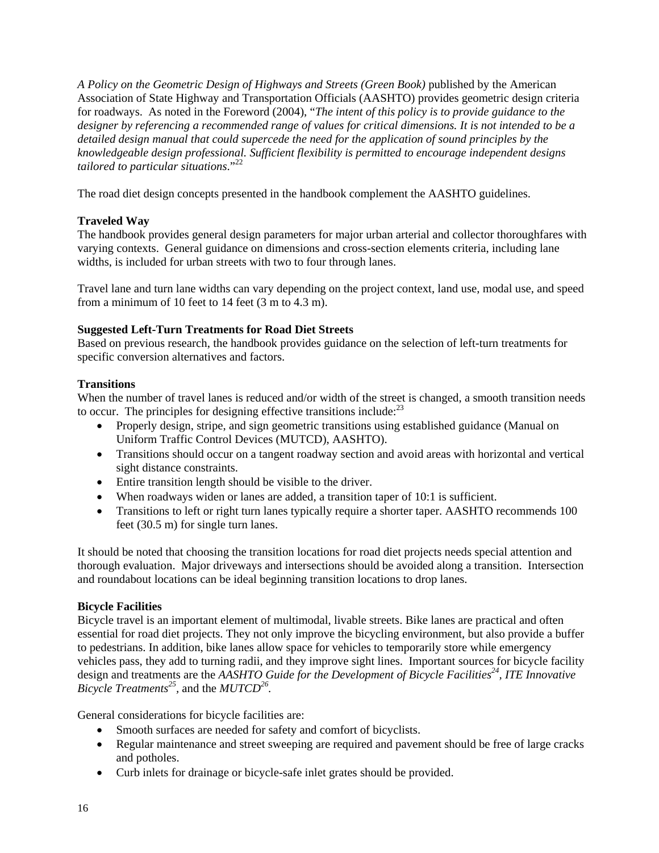*A Policy on the Geometric Design of Highways and Streets (Green Book)* published by the American Association of State Highway and Transportation Officials (AASHTO) provides geometric design criteria for roadways. As noted in the Foreword (2004), "*The intent of this policy is to provide guidance to the designer by referencing a recommended range of values for critical dimensions. It is not intended to be a detailed design manual that could supercede the need for the application of sound principles by the knowledgeable design professional. Sufficient flexibility is permitted to encourage independent designs tailored to particular situations*."22

The road diet design concepts presented in the handbook complement the AASHTO guidelines.

## **Traveled Way**

The handbook provides general design parameters for major urban arterial and collector thoroughfares with varying contexts. General guidance on dimensions and cross-section elements criteria, including lane widths, is included for urban streets with two to four through lanes.

Travel lane and turn lane widths can vary depending on the project context, land use, modal use, and speed from a minimum of 10 feet to 14 feet (3 m to 4.3 m).

#### **Suggested Left-Turn Treatments for Road Diet Streets**

Based on previous research, the handbook provides guidance on the selection of left-turn treatments for specific conversion alternatives and factors.

#### **Transitions**

When the number of travel lanes is reduced and/or width of the street is changed, a smooth transition needs to occur. The principles for designing effective transitions include: $^{23}$ 

- Properly design, stripe, and sign geometric transitions using established guidance (Manual on Uniform Traffic Control Devices (MUTCD), AASHTO).
- Transitions should occur on a tangent roadway section and avoid areas with horizontal and vertical sight distance constraints.
- Entire transition length should be visible to the driver.
- When roadways widen or lanes are added, a transition taper of 10:1 is sufficient.
- Transitions to left or right turn lanes typically require a shorter taper. AASHTO recommends 100 feet (30.5 m) for single turn lanes.

It should be noted that choosing the transition locations for road diet projects needs special attention and thorough evaluation. Major driveways and intersections should be avoided along a transition. Intersection and roundabout locations can be ideal beginning transition locations to drop lanes.

#### **Bicycle Facilities**

Bicycle travel is an important element of multimodal, livable streets. Bike lanes are practical and often essential for road diet projects. They not only improve the bicycling environment, but also provide a buffer to pedestrians. In addition, bike lanes allow space for vehicles to temporarily store while emergency vehicles pass, they add to turning radii, and they improve sight lines. Important sources for bicycle facility design and treatments are the *AASHTO Guide for the Development of Bicycle Facilities24, ITE Innovative Bicycle Treatments25,* and the *MUTCD26.* 

General considerations for bicycle facilities are:

- Smooth surfaces are needed for safety and comfort of bicyclists.
- Regular maintenance and street sweeping are required and pavement should be free of large cracks and potholes.
- Curb inlets for drainage or bicycle-safe inlet grates should be provided.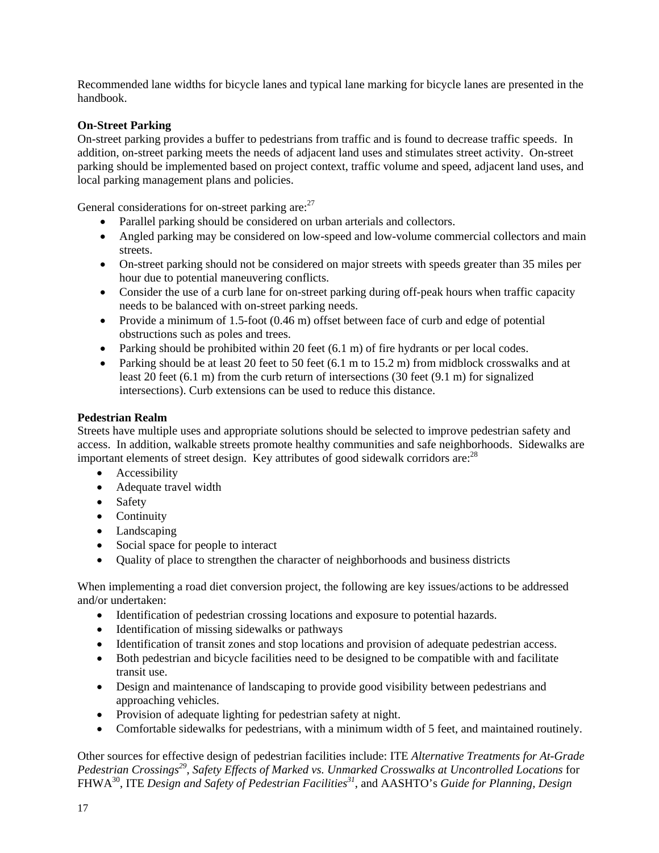Recommended lane widths for bicycle lanes and typical lane marking for bicycle lanes are presented in the handbook.

#### **On-Street Parking**

On-street parking provides a buffer to pedestrians from traffic and is found to decrease traffic speeds. In addition, on-street parking meets the needs of adjacent land uses and stimulates street activity. On-street parking should be implemented based on project context, traffic volume and speed, adjacent land uses, and local parking management plans and policies.

General considerations for on-street parking are:  $27$ 

- Parallel parking should be considered on urban arterials and collectors.
- Angled parking may be considered on low-speed and low-volume commercial collectors and main streets.
- On-street parking should not be considered on major streets with speeds greater than 35 miles per hour due to potential maneuvering conflicts.
- Consider the use of a curb lane for on-street parking during off-peak hours when traffic capacity needs to be balanced with on-street parking needs.
- Provide a minimum of 1.5-foot (0.46 m) offset between face of curb and edge of potential obstructions such as poles and trees.
- Parking should be prohibited within 20 feet (6.1 m) of fire hydrants or per local codes.
- Parking should be at least 20 feet to 50 feet (6.1 m to 15.2 m) from midblock crosswalks and at least 20 feet (6.1 m) from the curb return of intersections (30 feet (9.1 m) for signalized intersections). Curb extensions can be used to reduce this distance.

#### **Pedestrian Realm**

Streets have multiple uses and appropriate solutions should be selected to improve pedestrian safety and access. In addition, walkable streets promote healthy communities and safe neighborhoods. Sidewalks are important elements of street design. Key attributes of good sidewalk corridors are:  $28$ 

- **Accessibility**
- Adequate travel width
- Safety
- Continuity
- Landscaping
- Social space for people to interact
- Quality of place to strengthen the character of neighborhoods and business districts

When implementing a road diet conversion project, the following are key issues/actions to be addressed and/or undertaken:

- Identification of pedestrian crossing locations and exposure to potential hazards.
- Identification of missing sidewalks or pathways
- Identification of transit zones and stop locations and provision of adequate pedestrian access.
- Both pedestrian and bicycle facilities need to be designed to be compatible with and facilitate transit use.
- Design and maintenance of landscaping to provide good visibility between pedestrians and approaching vehicles.
- Provision of adequate lighting for pedestrian safety at night.
- Comfortable sidewalks for pedestrians, with a minimum width of 5 feet, and maintained routinely.

Other sources for effective design of pedestrian facilities include: ITE *Alternative Treatments for At-Grade Pedestrian Crossings29*, *Safety Effects of Marked vs. Unmarked Crosswalks at Uncontrolled Locations* for FHWA30, ITE *Design and Safety of Pedestrian Facilities31*, and AASHTO's *Guide for Planning, Design*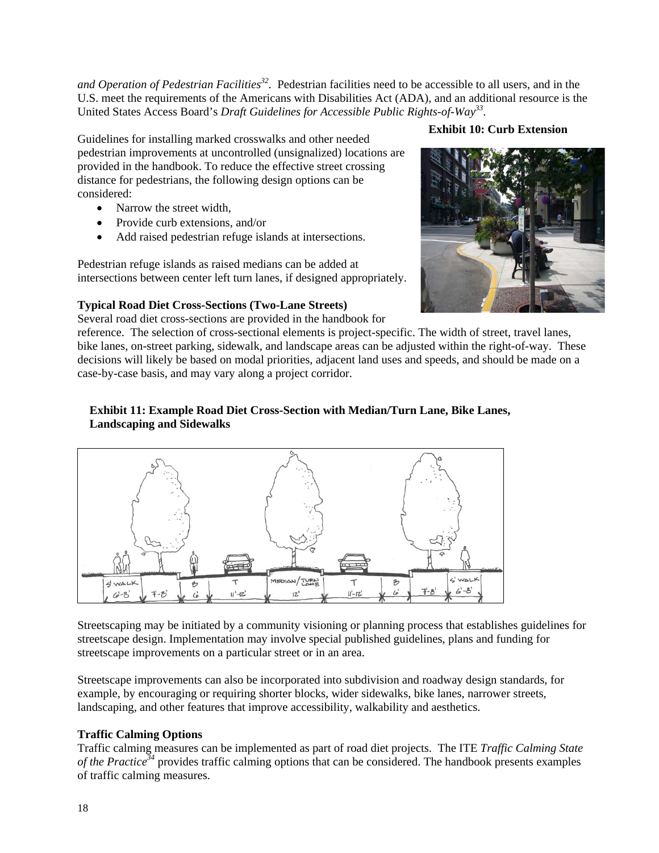and Operation of Pedestrian Facilities<sup>32</sup>. Pedestrian facilities need to be accessible to all users, and in the U.S. meet the requirements of the Americans with Disabilities Act (ADA), and an additional resource is the United States Access Board's *Draft Guidelines for Accessible Public Rights-of-Way33*.

Guidelines for installing marked crosswalks and other needed pedestrian improvements at uncontrolled (unsignalized) locations are provided in the handbook. To reduce the effective street crossing distance for pedestrians, the following design options can be considered:

- Narrow the street width,
- Provide curb extensions, and/or
- Add raised pedestrian refuge islands at intersections.

Pedestrian refuge islands as raised medians can be added at intersections between center left turn lanes, if designed appropriately.

## **Typical Road Diet Cross-Sections (Two-Lane Streets)**

Several road diet cross-sections are provided in the handbook for

reference. The selection of cross-sectional elements is project-specific. The width of street, travel lanes, bike lanes, on-street parking, sidewalk, and landscape areas can be adjusted within the right-of-way. These decisions will likely be based on modal priorities, adjacent land uses and speeds, and should be made on a case-by-case basis, and may vary along a project corridor.

## **Exhibit 11: Example Road Diet Cross-Section with Median/Turn Lane, Bike Lanes, Landscaping and Sidewalks**



Streetscaping may be initiated by a community visioning or planning process that establishes guidelines for streetscape design. Implementation may involve special published guidelines, plans and funding for streetscape improvements on a particular street or in an area.

Streetscape improvements can also be incorporated into subdivision and roadway design standards, for example, by encouraging or requiring shorter blocks, wider sidewalks, bike lanes, narrower streets, landscaping, and other features that improve accessibility, walkability and aesthetics.

## **Traffic Calming Options**

Traffic calming measures can be implemented as part of road diet projects. The ITE *Traffic Calming State of the Practice*<sup>34</sup> provides traffic calming options that can be considered. The handbook presents examples of traffic calming measures.

#### **Exhibit 10: Curb Extension**

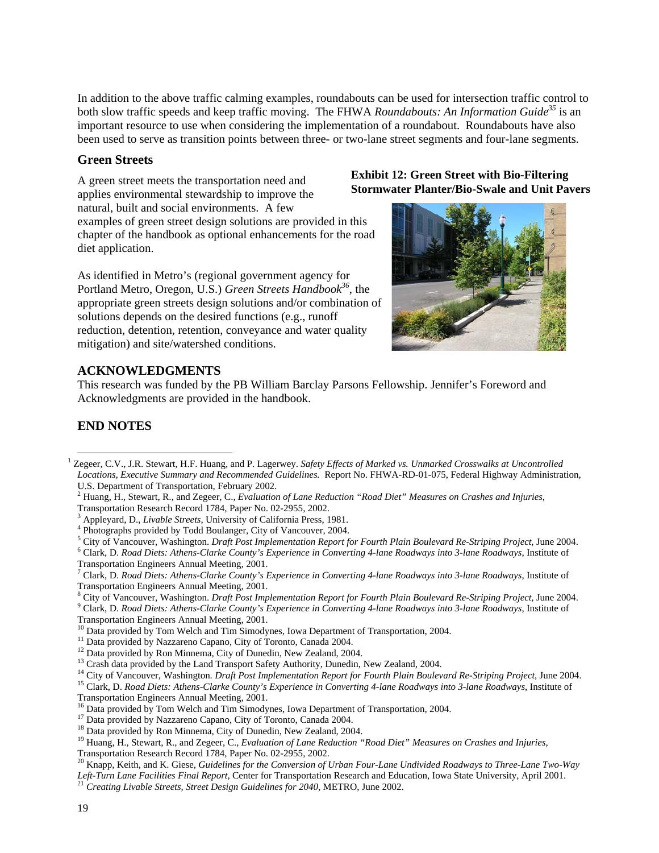In addition to the above traffic calming examples, roundabouts can be used for intersection traffic control to both slow traffic speeds and keep traffic moving. The FHWA *Roundabouts: An Information Guide35* is an important resource to use when considering the implementation of a roundabout. Roundabouts have also been used to serve as transition points between three- or two-lane street segments and four-lane segments.

#### **Green Streets**

A green street meets the transportation need and applies environmental stewardship to improve the natural, built and social environments. A few examples of green street design solutions are provided in this chapter of the handbook as optional enhancements for the road diet application.

As identified in Metro's (regional government agency for Portland Metro, Oregon, U.S.) *Green Streets Handbook<sup>36</sup>*, the appropriate green streets design solutions and/or combination of solutions depends on the desired functions (e.g., runoff reduction, detention, retention, conveyance and water quality mitigation) and site/watershed conditions.

#### **Exhibit 12: Green Street with Bio-Filtering Stormwater Planter/Bio-Swale and Unit Pavers**



## **ACKNOWLEDGMENTS**

This research was funded by the PB William Barclay Parsons Fellowship. Jennifer's Foreword and Acknowledgments are provided in the handbook.

## **END NOTES**

2 Huang, H., Stewart, R., and Zegeer, C., *Evaluation of Lane Reduction "Road Diet" Measures on Crashes and Injuries*,

Transportation Research Record 1784, Paper No. 02-2955, 2002.

- <sup>3</sup> Appleyard, D., *Livable Streets*, University of California Press, 1981.<br><sup>4</sup> Photographs provided by Todd Poulancer, City of Vancouver, 2004.
- <sup>4</sup> Photographs provided by Todd Boulanger, City of Vancouver, 2004.
- <sup>5</sup> City of Vancouver, Washington. *Draft Post Implementation Report for Fourth Plain Boulevard Re-Striping Project*, June 2004.

 Clark, D. *Road Diets: Athens-Clarke County's Experience in Converting 4-lane Roadways into 3-lane Roadways*, Institute of Transportation Engineers Annual Meeting, 2001.

City of Vancouver, Washington. *Draft Post Implementation Report for Fourth Plain Boulevard Re-Striping Project*, June 2004.

Clark, D. *Road Diets: Athens-Clarke County's Experience in Converting 4-lane Roadways into 3-lane Roadways*, Institute of

- Transportation Engineers Annual Meeting, 2001.<br><sup>10</sup> Data provided by Tom Welch and Tim Simodynes, Iowa Department of Transportation, 2004.<br><sup>11</sup> Data provided by Nazzareno Capano, City of Toronto, Canada 2004.<br><sup>12</sup> Data pr
- 
- 
- 
- <sup>13</sup> Crash data provided by the Land Transport Safety Authority, Dunedin, New Zealand, 2004.<br><sup>14</sup> City of Vancouver, Washington. *Draft Post Implementation Report for Fourth Plain Boulevard Re-Striping Project*, June 2004
- 

- Transportation Engineers Annual Meeting, 2001.<br><sup>16</sup> Data provided by Tom Welch and Tim Simodynes, Iowa Department of Transportation, 2004.<br><sup>17</sup> Data provided by Nazzareno Capano, City of Toronto, Canada 2004.<br><sup>18</sup> Data pro
- 
- 

<sup>19</sup> Huang, H., Stewart, R., and Zegeer, C., *Evaluation of Lane Reduction "Road Diet" Measures on Crashes and Injuries*,

Transportation Research Record 1784, Paper No. 02-2955, 2002.

20 Knapp, Keith, and K. Giese, *Guidelines for the Conversion of Urban Four-Lane Undivided Roadways to Three-Lane Two-Way Left-Turn Lane Facilities Final Report, Center for Transportation Research and Education, Iowa State University, April 2001.* <sup>21</sup> *Creating Livable Streets, Street Design Guidelines for 2040, METRO, June 2002.* 

<sup>&</sup>lt;sup>1</sup> Zegeer, C.V., J.R. Stewart, H.F. Huang, and P. Lagerwey. *Safety Effects of Marked vs. Unmarked Crosswalks at Uncontrolled Locations, Executive Summary and Recommended Guidelines.* Report No. FHWA-RD-01-075, Federal Highway Administration, U.S. Department of Transportation, February 2002.

 $^7$  Clark, D. *Road Diets: Athens-Clarke County's Experience in Converting 4-lane Roadways into 3-lane Roadways*, Institute of Transportation Engineers Annual Meeting, 2001. 8